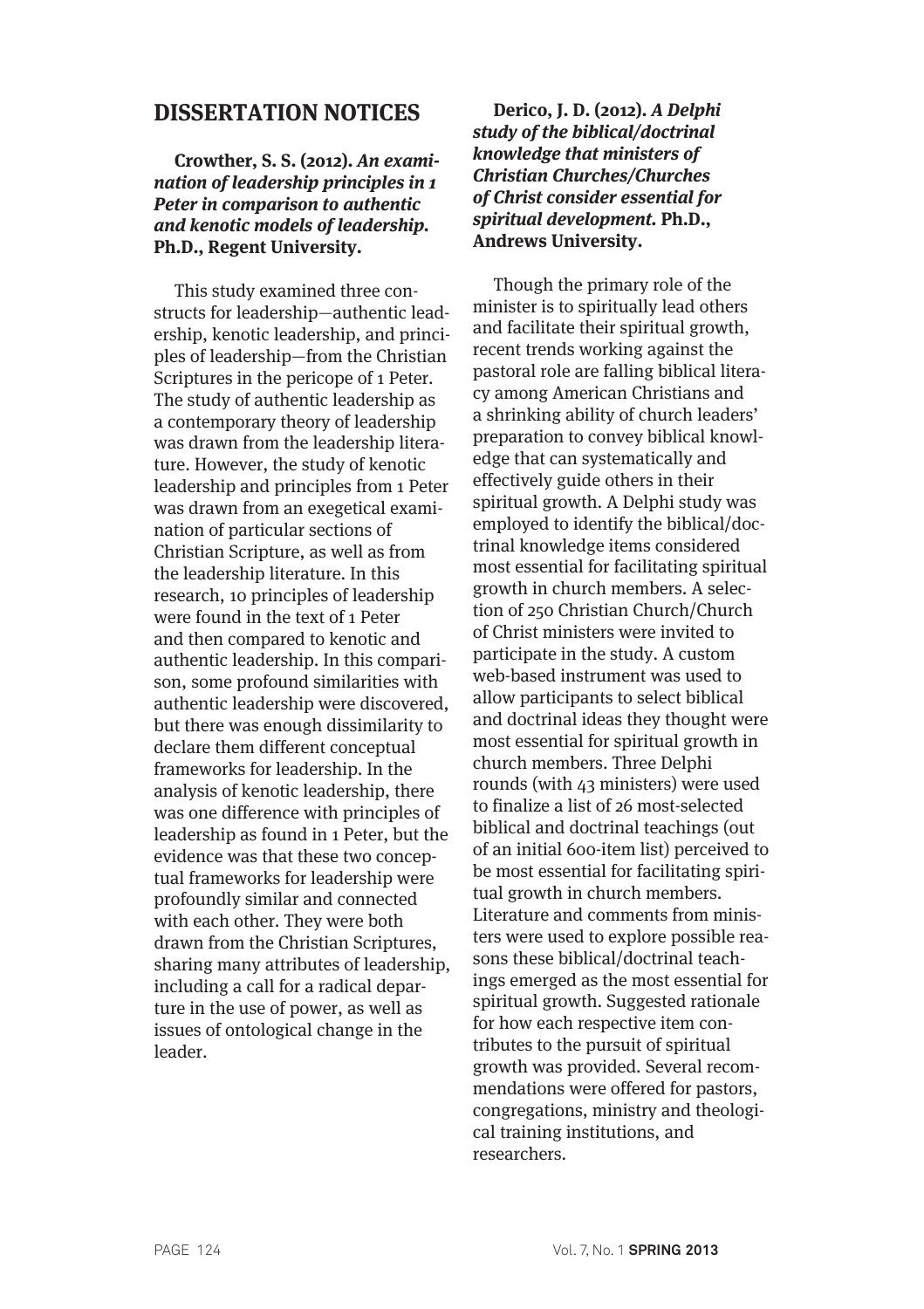# **DISSERTATION NOTICES**

# **Crowther, S. S. (2012). An examination of leadership principles in 1 Peter in comparison to authentic and kenotic models of leadership. Ph.D., Regent University.**

This study examined three constructs for leadership—authentic leadership, kenotic leadership, and principles of leadership—from the Christian Scriptures in the pericope of 1 Peter. The study of authentic leadership as a contemporary theory of leadership was drawn from the leadership literature. However, the study of kenotic leadership and principles from 1 Peter was drawn from an exegetical examination of particular sections of Christian Scripture, as well as from the leadership literature. In this research, 10 principles of leadership were found in the text of 1 Peter and then compared to kenotic and authentic leadership. In this comparison, some profound similarities with authentic leadership were discovered, but there was enough dissimilarity to declare them different conceptual frameworks for leadership. In the analysis of kenotic leadership, there was one difference with principles of leadership as found in 1 Peter, but the evidence was that these two conceptual frameworks for leadership were profoundly similar and connected with each other. They were both drawn from the Christian Scriptures, sharing many attributes of leadership, including a call for a radical departure in the use of power, as well as issues of ontological change in the leader.

# **Derico, J. D. (2012). A Delphi study of the biblical/doctrinal knowledge that ministers of Christian Churches/Churches of Christ consider essential for spiritual development. Ph.D., Andrews University.**

Though the primary role of the minister is to spiritually lead others and facilitate their spiritual growth, recent trends working against the pastoral role are falling biblical literacy among American Christians and a shrinking ability of church leaders' preparation to convey biblical knowledge that can systematically and effectively guide others in their spiritual growth. A Delphi study was employed to identify the biblical/doctrinal knowledge items considered most essential for facilitating spiritual growth in church members. A selection of 250 Christian Church/Church of Christ ministers were invited to participate in the study. A custom web-based instrument was used to allow participants to select biblical and doctrinal ideas they thought were most essential for spiritual growth in church members. Three Delphi rounds (with 43 ministers) were used to finalize a list of 26 most-selected biblical and doctrinal teachings (out of an initial 600-item list) perceived to be most essential for facilitating spiritual growth in church members. Literature and comments from ministers were used to explore possible reasons these biblical/doctrinal teachings emerged as the most essential for spiritual growth. Suggested rationale for how each respective item contributes to the pursuit of spiritual growth was provided. Several recommendations were offered for pastors, congregations, ministry and theological training institutions, and researchers.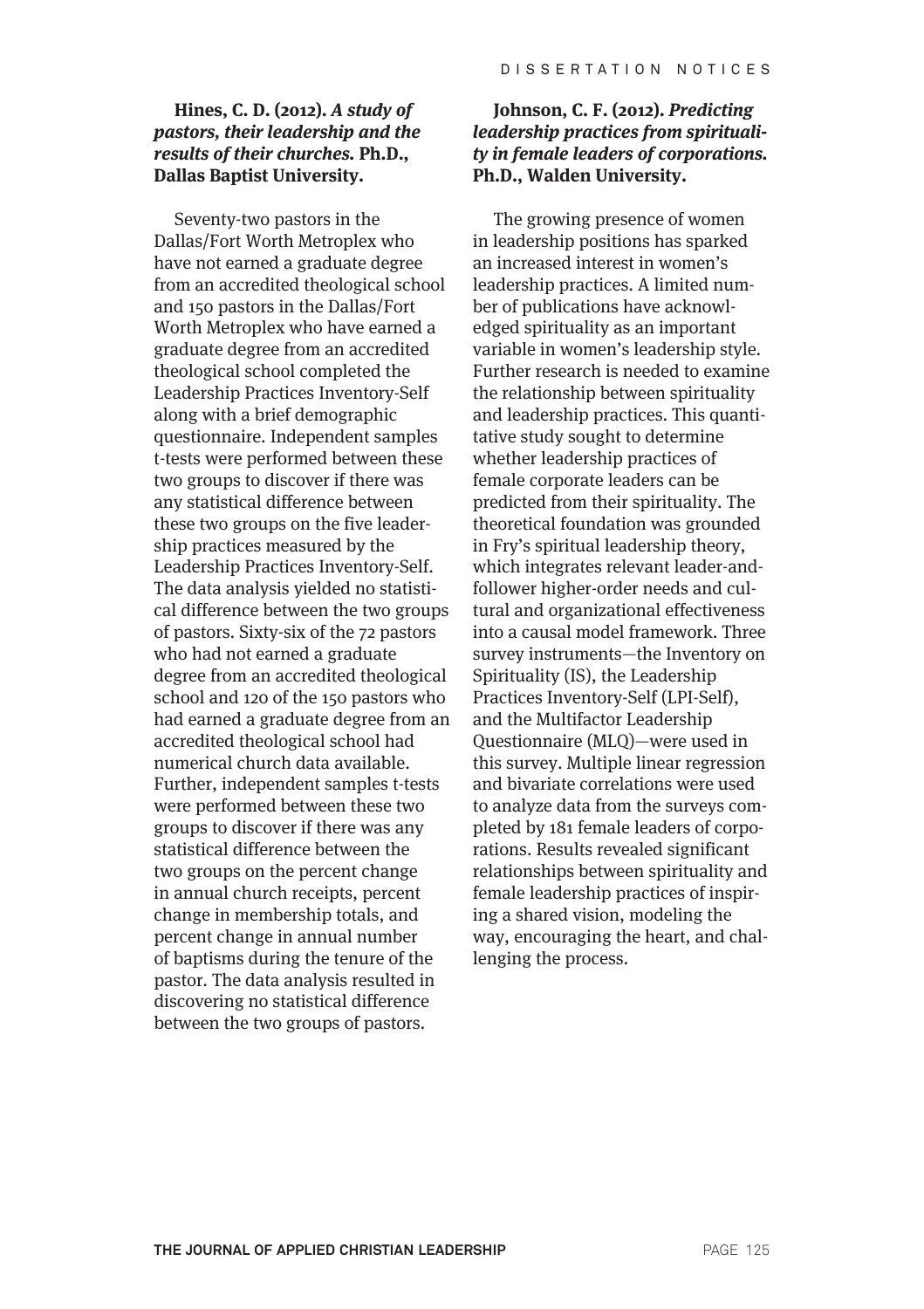## **Hines, C. D. (2012). A study of pastors, their leadership and the results of their churches. Ph.D., Dallas Baptist University.**

Seventy-two pastors in the Dallas/Fort Worth Metroplex who have not earned a graduate degree from an accredited theological school and 150 pastors in the Dallas/Fort Worth Metroplex who have earned a graduate degree from an accredited theological school completed the Leadership Practices Inventory-Self along with a brief demographic questionnaire. Independent samples t-tests were performed between these two groups to discover if there was any statistical difference between these two groups on the five leadership practices measured by the Leadership Practices Inventory-Self. The data analysis yielded no statistical difference between the two groups of pastors. Sixty-six of the 72 pastors who had not earned a graduate degree from an accredited theological school and 120 of the 150 pastors who had earned a graduate degree from an accredited theological school had numerical church data available. Further, independent samples t-tests were performed between these two groups to discover if there was any statistical difference between the two groups on the percent change in annual church receipts, percent change in membership totals, and percent change in annual number of baptisms during the tenure of the pastor. The data analysis resulted in discovering no statistical difference between the two groups of pastors.

#### **Johnson, C. F. (2012). Predicting leadership practices from spirituality in female leaders of corporations. Ph.D., Walden University.**

The growing presence of women in leadership positions has sparked an increased interest in women's leadership practices. A limited number of publications have acknowledged spirituality as an important variable in women's leadership style. Further research is needed to examine the relationship between spirituality and leadership practices. This quantitative study sought to determine whether leadership practices of female corporate leaders can be predicted from their spirituality. The theoretical foundation was grounded in Fry's spiritual leadership theory, which integrates relevant leader-andfollower higher-order needs and cultural and organizational effectiveness into a causal model framework. Three survey instruments—the Inventory on Spirituality (IS), the Leadership Practices Inventory-Self (LPI-Self), and the Multifactor Leadership Questionnaire (MLQ)—were used in this survey. Multiple linear regression and bivariate correlations were used to analyze data from the surveys completed by 181 female leaders of corporations. Results revealed significant relationships between spirituality and female leadership practices of inspiring a shared vision, modeling the way, encouraging the heart, and challenging the process.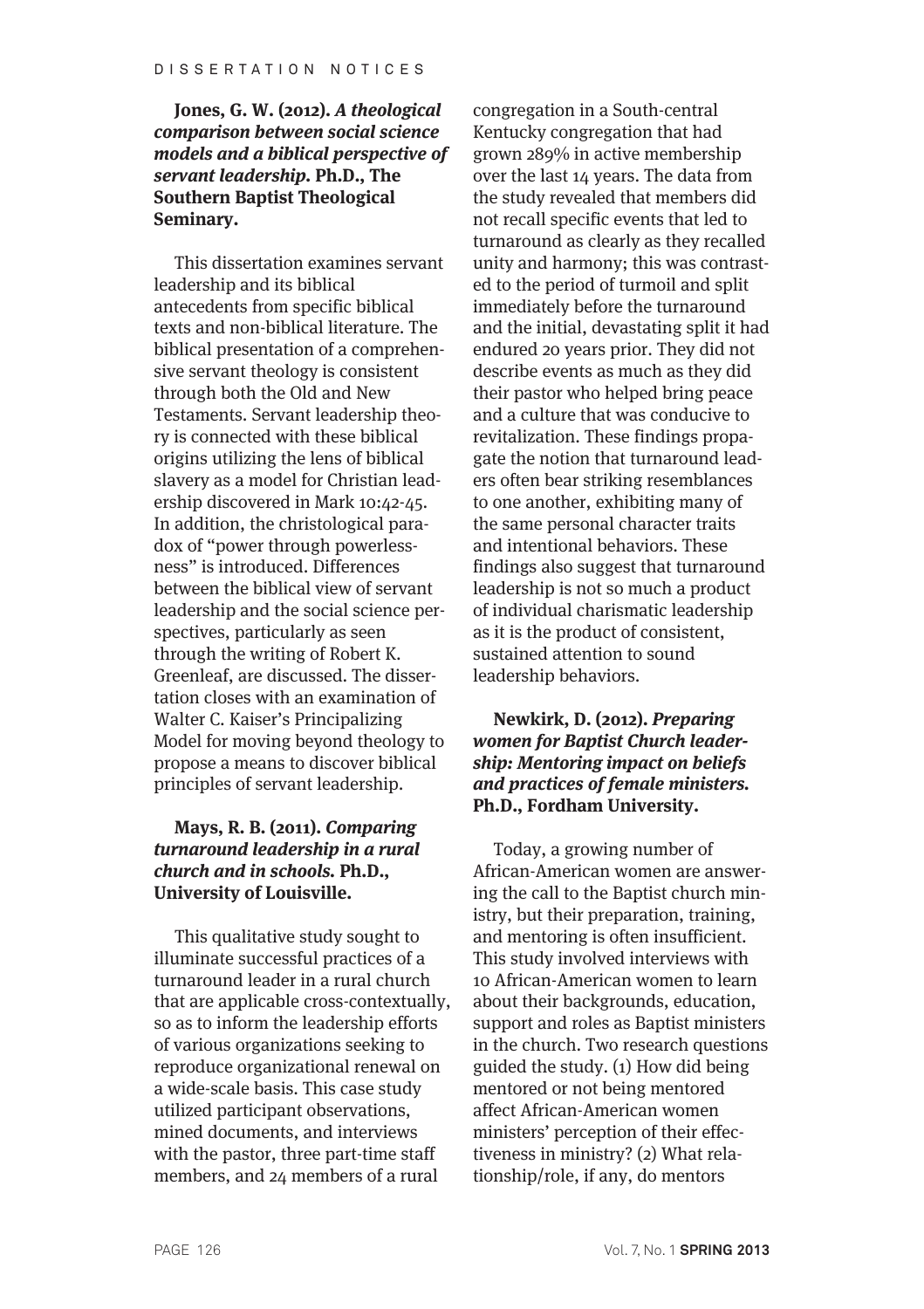## **Jones, G. W. (2012). A theological comparison between social science models and a biblical perspective of servant leadership. Ph.D., The Southern Baptist Theological Seminary.**

This dissertation examines servant leadership and its biblical antecedents from specific biblical texts and non-biblical literature. The biblical presentation of a comprehensive servant theology is consistent through both the Old and New Testaments. Servant leadership theory is connected with these biblical origins utilizing the lens of biblical slavery as a model for Christian leadership discovered in Mark 10:42-45. In addition, the christological paradox of "power through powerlessness" is introduced. Differences between the biblical view of servant leadership and the social science perspectives, particularly as seen through the writing of Robert K. Greenleaf, are discussed. The dissertation closes with an examination of Walter C. Kaiser's Principalizing Model for moving beyond theology to propose a means to discover biblical principles of servant leadership.

## **Mays, R. B. (2011). Comparing turnaround leadership in a rural church and in schools. Ph.D., University of Louisville.**

This qualitative study sought to illuminate successful practices of a turnaround leader in a rural church that are applicable cross-contextually, so as to inform the leadership efforts of various organizations seeking to reproduce organizational renewal on a wide-scale basis. This case study utilized participant observations, mined documents, and interviews with the pastor, three part-time staff members, and 24 members of a rural

congregation in a South-central Kentucky congregation that had grown 289% in active membership over the last 14 years. The data from the study revealed that members did not recall specific events that led to turnaround as clearly as they recalled unity and harmony; this was contrasted to the period of turmoil and split immediately before the turnaround and the initial, devastating split it had endured 20 years prior. They did not describe events as much as they did their pastor who helped bring peace and a culture that was conducive to revitalization. These findings propagate the notion that turnaround leaders often bear striking resemblances to one another, exhibiting many of the same personal character traits and intentional behaviors. These findings also suggest that turnaround leadership is not so much a product of individual charismatic leadership as it is the product of consistent, sustained attention to sound leadership behaviors.

## **Newkirk, D. (2012). Preparing women for Baptist Church leadership: Mentoring impact on beliefs and practices of female ministers. Ph.D., Fordham University.**

Today, a growing number of African-American women are answering the call to the Baptist church ministry, but their preparation, training, and mentoring is often insufficient. This study involved interviews with 10 African-American women to learn about their backgrounds, education, support and roles as Baptist ministers in the church. Two research questions guided the study. (1) How did being mentored or not being mentored affect African-American women ministers' perception of their effectiveness in ministry? (2) What relationship/role, if any, do mentors